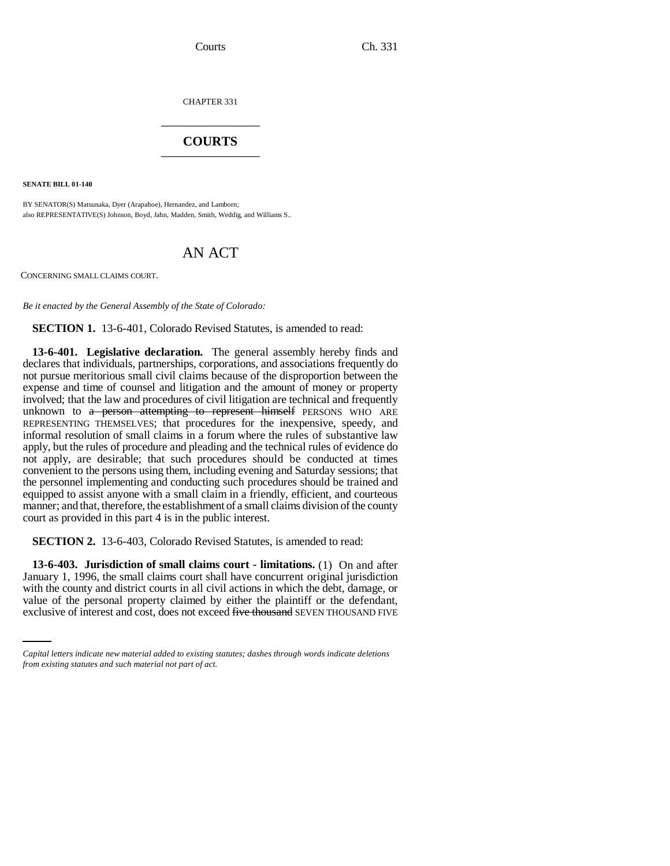CHAPTER 331 \_\_\_\_\_\_\_\_\_\_\_\_\_\_\_

## **COURTS** \_\_\_\_\_\_\_\_\_\_\_\_\_\_\_

**SENATE BILL 01-140**

BY SENATOR(S) Matsunaka, Dyer (Arapahoe), Hernandez, and Lamborn; also REPRESENTATIVE(S) Johnson, Boyd, Jahn, Madden, Smith, Weddig, and Williams S..

# AN ACT

CONCERNING SMALL CLAIMS COURT.

*Be it enacted by the General Assembly of the State of Colorado:*

**SECTION 1.** 13-6-401, Colorado Revised Statutes, is amended to read:

**13-6-401. Legislative declaration.** The general assembly hereby finds and declares that individuals, partnerships, corporations, and associations frequently do not pursue meritorious small civil claims because of the disproportion between the expense and time of counsel and litigation and the amount of money or property involved; that the law and procedures of civil litigation are technical and frequently unknown to a person attempting to represent himself PERSONS WHO ARE REPRESENTING THEMSELVES; that procedures for the inexpensive, speedy, and informal resolution of small claims in a forum where the rules of substantive law apply, but the rules of procedure and pleading and the technical rules of evidence do not apply, are desirable; that such procedures should be conducted at times convenient to the persons using them, including evening and Saturday sessions; that the personnel implementing and conducting such procedures should be trained and equipped to assist anyone with a small claim in a friendly, efficient, and courteous manner; and that, therefore, the establishment of a small claims division of the county court as provided in this part 4 is in the public interest.

**SECTION 2.** 13-6-403, Colorado Revised Statutes, is amended to read:

with the county and district courts in all civil actions in which the debt, damage, or **13-6-403. Jurisdiction of small claims court - limitations.** (1) On and after January 1, 1996, the small claims court shall have concurrent original jurisdiction value of the personal property claimed by either the plaintiff or the defendant, exclusive of interest and cost, does not exceed five thousand SEVEN THOUSAND FIVE

*Capital letters indicate new material added to existing statutes; dashes through words indicate deletions from existing statutes and such material not part of act.*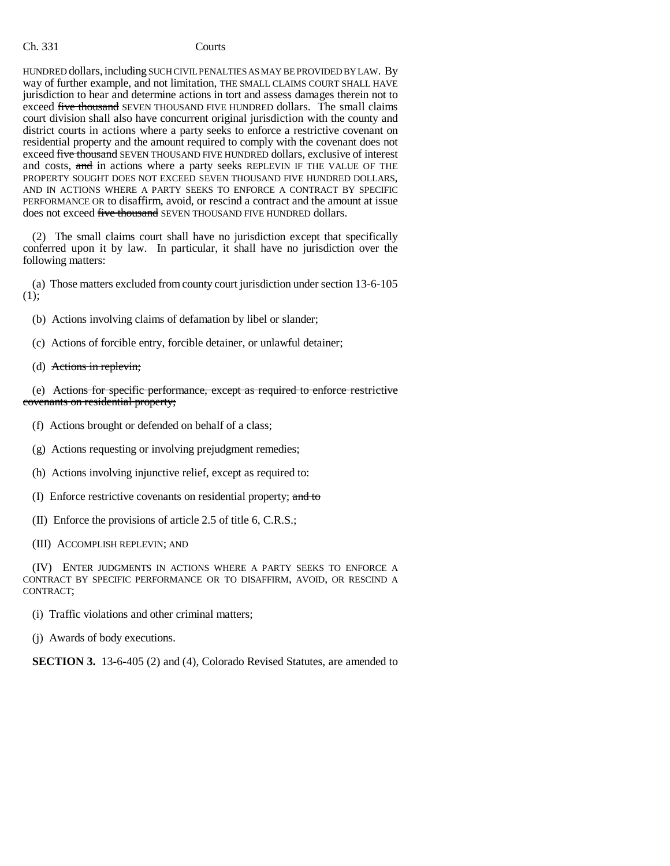### Ch. 331 Courts

HUNDRED dollars, including SUCH CIVIL PENALTIES AS MAY BE PROVIDED BY LAW. By way of further example, and not limitation, THE SMALL CLAIMS COURT SHALL HAVE jurisdiction to hear and determine actions in tort and assess damages therein not to exceed five thousand SEVEN THOUSAND FIVE HUNDRED dollars. The small claims court division shall also have concurrent original jurisdiction with the county and district courts in actions where a party seeks to enforce a restrictive covenant on residential property and the amount required to comply with the covenant does not exceed five thousand SEVEN THOUSAND FIVE HUNDRED dollars, exclusive of interest and costs, and in actions where a party seeks REPLEVIN IF THE VALUE OF THE PROPERTY SOUGHT DOES NOT EXCEED SEVEN THOUSAND FIVE HUNDRED DOLLARS, AND IN ACTIONS WHERE A PARTY SEEKS TO ENFORCE A CONTRACT BY SPECIFIC PERFORMANCE OR to disaffirm, avoid, or rescind a contract and the amount at issue does not exceed five thousand SEVEN THOUSAND FIVE HUNDRED dollars.

(2) The small claims court shall have no jurisdiction except that specifically conferred upon it by law. In particular, it shall have no jurisdiction over the following matters:

(a) Those matters excluded from county court jurisdiction under section 13-6-105 (1);

- (b) Actions involving claims of defamation by libel or slander;
- (c) Actions of forcible entry, forcible detainer, or unlawful detainer;
- (d) Actions in replevin;

(e) Actions for specific performance, except as required to enforce restrictive covenants on residential property;

- (f) Actions brought or defended on behalf of a class;
- (g) Actions requesting or involving prejudgment remedies;
- (h) Actions involving injunctive relief, except as required to:
- (I) Enforce restrictive covenants on residential property; and to
- (II) Enforce the provisions of article 2.5 of title 6, C.R.S.;
- (III) ACCOMPLISH REPLEVIN; AND

(IV) ENTER JUDGMENTS IN ACTIONS WHERE A PARTY SEEKS TO ENFORCE A CONTRACT BY SPECIFIC PERFORMANCE OR TO DISAFFIRM, AVOID, OR RESCIND A CONTRACT;

- (i) Traffic violations and other criminal matters;
- (j) Awards of body executions.

**SECTION 3.** 13-6-405 (2) and (4), Colorado Revised Statutes, are amended to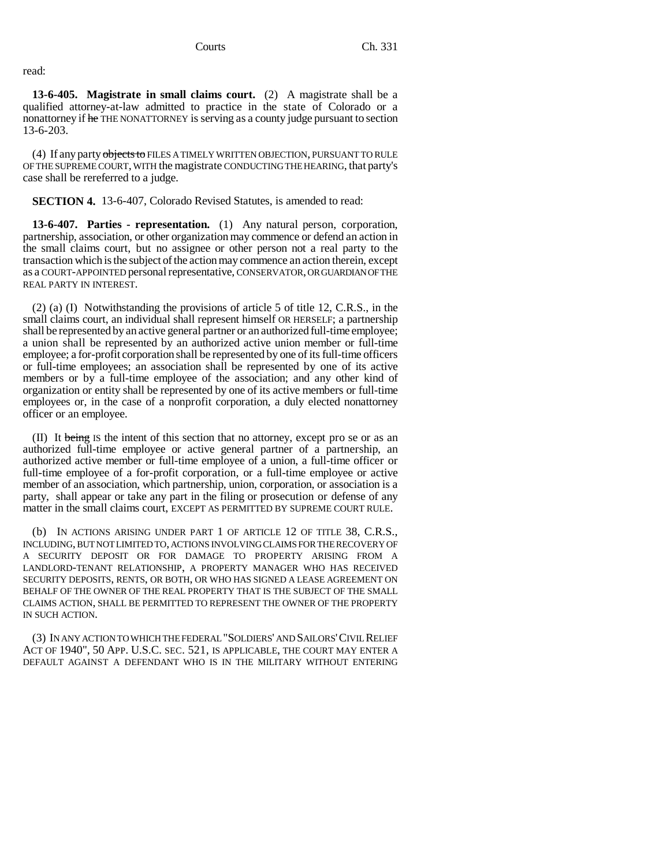read:

**13-6-405. Magistrate in small claims court.** (2) A magistrate shall be a qualified attorney-at-law admitted to practice in the state of Colorado or a nonattorney if he THE NONATTORNEY is serving as a county judge pursuant to section 13-6-203.

(4) If any party objects to FILES A TIMELY WRITTEN OBJECTION, PURSUANT TO RULE OF THE SUPREME COURT, WITH the magistrate CONDUCTING THE HEARING, that party's case shall be rereferred to a judge.

**SECTION 4.** 13-6-407, Colorado Revised Statutes, is amended to read:

**13-6-407. Parties - representation.** (1) Any natural person, corporation, partnership, association, or other organization may commence or defend an action in the small claims court, but no assignee or other person not a real party to the transaction which is the subject of the action may commence an action therein, except as a COURT-APPOINTED personal representative, CONSERVATOR, OR GUARDIAN OF THE REAL PARTY IN INTEREST.

(2) (a) (I) Notwithstanding the provisions of article 5 of title 12, C.R.S., in the small claims court, an individual shall represent himself OR HERSELF; a partnership shall be represented by an active general partner or an authorized full-time employee; a union shall be represented by an authorized active union member or full-time employee; a for-profit corporation shall be represented by one of its full-time officers or full-time employees; an association shall be represented by one of its active members or by a full-time employee of the association; and any other kind of organization or entity shall be represented by one of its active members or full-time employees or, in the case of a nonprofit corporation, a duly elected nonattorney officer or an employee.

(II) It being IS the intent of this section that no attorney, except pro se or as an authorized full-time employee or active general partner of a partnership, an authorized active member or full-time employee of a union, a full-time officer or full-time employee of a for-profit corporation, or a full-time employee or active member of an association, which partnership, union, corporation, or association is a party, shall appear or take any part in the filing or prosecution or defense of any matter in the small claims court, EXCEPT AS PERMITTED BY SUPREME COURT RULE.

(b) IN ACTIONS ARISING UNDER PART 1 OF ARTICLE 12 OF TITLE 38, C.R.S., INCLUDING, BUT NOT LIMITED TO, ACTIONS INVOLVING CLAIMS FOR THE RECOVERY OF A SECURITY DEPOSIT OR FOR DAMAGE TO PROPERTY ARISING FROM A LANDLORD-TENANT RELATIONSHIP, A PROPERTY MANAGER WHO HAS RECEIVED SECURITY DEPOSITS, RENTS, OR BOTH, OR WHO HAS SIGNED A LEASE AGREEMENT ON BEHALF OF THE OWNER OF THE REAL PROPERTY THAT IS THE SUBJECT OF THE SMALL CLAIMS ACTION, SHALL BE PERMITTED TO REPRESENT THE OWNER OF THE PROPERTY IN SUCH ACTION.

(3) IN ANY ACTION TO WHICH THE FEDERAL "SOLDIERS' AND SAILORS'CIVIL RELIEF ACT OF 1940", 50 APP. U.S.C. SEC. 521, IS APPLICABLE, THE COURT MAY ENTER A DEFAULT AGAINST A DEFENDANT WHO IS IN THE MILITARY WITHOUT ENTERING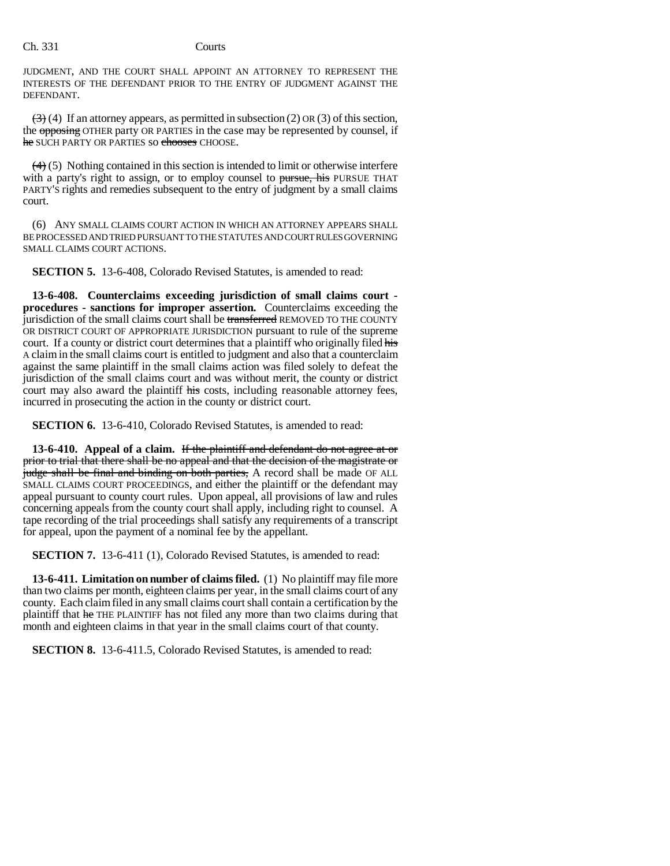### Ch. 331 Courts

JUDGMENT, AND THE COURT SHALL APPOINT AN ATTORNEY TO REPRESENT THE INTERESTS OF THE DEFENDANT PRIOR TO THE ENTRY OF JUDGMENT AGAINST THE DEFENDANT.

 $(3)$  (4) If an attorney appears, as permitted in subsection (2) OR (3) of this section, the opposing OTHER party OR PARTIES in the case may be represented by counsel, if he SUCH PARTY OR PARTIES so chooses CHOOSE.

 $(4)$  (5) Nothing contained in this section is intended to limit or otherwise interfere with a party's right to assign, or to employ counsel to pursue, his PURSUE THAT PARTY'S rights and remedies subsequent to the entry of judgment by a small claims court.

(6) ANY SMALL CLAIMS COURT ACTION IN WHICH AN ATTORNEY APPEARS SHALL BE PROCESSED AND TRIED PURSUANT TO THE STATUTES AND COURT RULES GOVERNING SMALL CLAIMS COURT ACTIONS.

**SECTION 5.** 13-6-408, Colorado Revised Statutes, is amended to read:

**13-6-408. Counterclaims exceeding jurisdiction of small claims court procedures - sanctions for improper assertion.** Counterclaims exceeding the jurisdiction of the small claims court shall be transferred REMOVED TO THE COUNTY OR DISTRICT COURT OF APPROPRIATE JURISDICTION pursuant to rule of the supreme court. If a county or district court determines that a plaintiff who originally filed his A claim in the small claims court is entitled to judgment and also that a counterclaim against the same plaintiff in the small claims action was filed solely to defeat the jurisdiction of the small claims court and was without merit, the county or district court may also award the plaintiff his costs, including reasonable attorney fees, incurred in prosecuting the action in the county or district court.

**SECTION 6.** 13-6-410, Colorado Revised Statutes, is amended to read:

**13-6-410. Appeal of a claim.** If the plaintiff and defendant do not agree at or prior to trial that there shall be no appeal and that the decision of the magistrate or judge shall be final and binding on both parties, A record shall be made OF ALL SMALL CLAIMS COURT PROCEEDINGS, and either the plaintiff or the defendant may appeal pursuant to county court rules. Upon appeal, all provisions of law and rules concerning appeals from the county court shall apply, including right to counsel. A tape recording of the trial proceedings shall satisfy any requirements of a transcript for appeal, upon the payment of a nominal fee by the appellant.

**SECTION 7.** 13-6-411 (1), Colorado Revised Statutes, is amended to read:

**13-6-411. Limitation on number of claims filed.** (1) No plaintiff may file more than two claims per month, eighteen claims per year, in the small claims court of any county. Each claim filed in any small claims court shall contain a certification by the plaintiff that he THE PLAINTIFF has not filed any more than two claims during that month and eighteen claims in that year in the small claims court of that county.

**SECTION 8.** 13-6-411.5, Colorado Revised Statutes, is amended to read: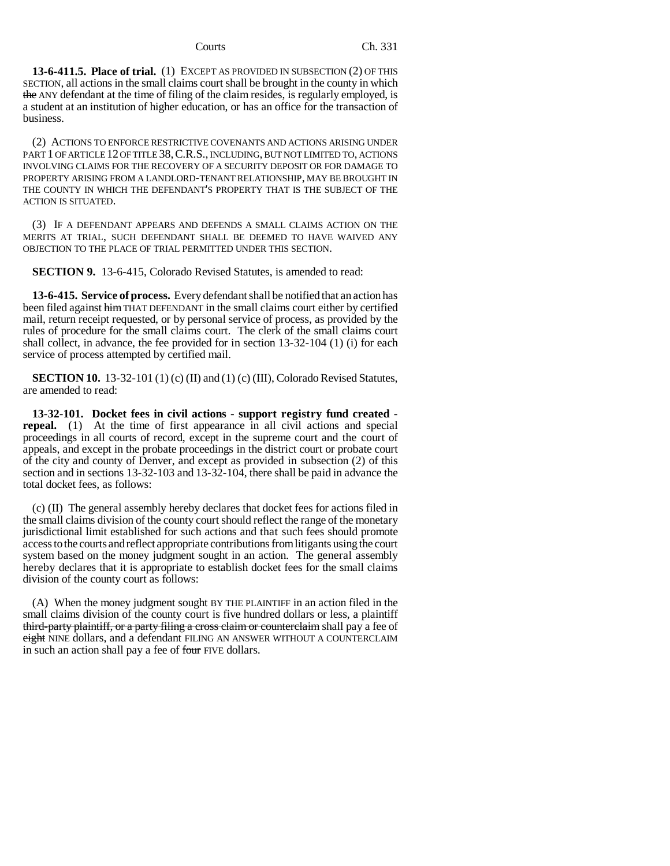### Courts Ch. 331

**13-6-411.5. Place of trial.** (1) EXCEPT AS PROVIDED IN SUBSECTION (2) OF THIS SECTION, all actions in the small claims court shall be brought in the county in which the ANY defendant at the time of filing of the claim resides, is regularly employed, is a student at an institution of higher education, or has an office for the transaction of business.

(2) ACTIONS TO ENFORCE RESTRICTIVE COVENANTS AND ACTIONS ARISING UNDER PART 1 OF ARTICLE 12 OF TITLE 38,C.R.S., INCLUDING, BUT NOT LIMITED TO, ACTIONS INVOLVING CLAIMS FOR THE RECOVERY OF A SECURITY DEPOSIT OR FOR DAMAGE TO PROPERTY ARISING FROM A LANDLORD-TENANT RELATIONSHIP, MAY BE BROUGHT IN THE COUNTY IN WHICH THE DEFENDANT'S PROPERTY THAT IS THE SUBJECT OF THE ACTION IS SITUATED.

(3) IF A DEFENDANT APPEARS AND DEFENDS A SMALL CLAIMS ACTION ON THE MERITS AT TRIAL, SUCH DEFENDANT SHALL BE DEEMED TO HAVE WAIVED ANY OBJECTION TO THE PLACE OF TRIAL PERMITTED UNDER THIS SECTION.

**SECTION 9.** 13-6-415, Colorado Revised Statutes, is amended to read:

**13-6-415. Service of process.** Every defendant shall be notified that an action has been filed against him THAT DEFENDANT in the small claims court either by certified mail, return receipt requested, or by personal service of process, as provided by the rules of procedure for the small claims court. The clerk of the small claims court shall collect, in advance, the fee provided for in section 13-32-104 (1) (i) for each service of process attempted by certified mail.

**SECTION 10.** 13-32-101 (1) (c) (II) and (1) (c) (III), Colorado Revised Statutes, are amended to read:

**13-32-101. Docket fees in civil actions - support registry fund created repeal.** (1) At the time of first appearance in all civil actions and special proceedings in all courts of record, except in the supreme court and the court of appeals, and except in the probate proceedings in the district court or probate court of the city and county of Denver, and except as provided in subsection (2) of this section and in sections 13-32-103 and 13-32-104, there shall be paid in advance the total docket fees, as follows:

(c) (II) The general assembly hereby declares that docket fees for actions filed in the small claims division of the county court should reflect the range of the monetary jurisdictional limit established for such actions and that such fees should promote access to the courts and reflect appropriate contributions from litigants using the court system based on the money judgment sought in an action. The general assembly hereby declares that it is appropriate to establish docket fees for the small claims division of the county court as follows:

(A) When the money judgment sought BY THE PLAINTIFF in an action filed in the small claims division of the county court is five hundred dollars or less, a plaintiff third-party plaintiff, or a party filing a cross claim or counterclaim shall pay a fee of eight NINE dollars, and a defendant FILING AN ANSWER WITHOUT A COUNTERCLAIM in such an action shall pay a fee of four FIVE dollars.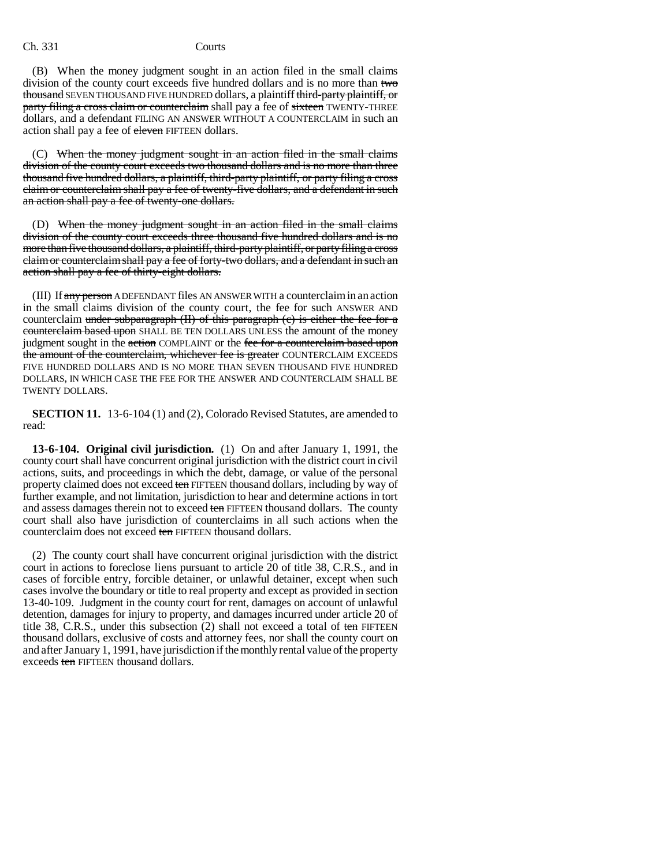### Ch. 331 Courts

(B) When the money judgment sought in an action filed in the small claims division of the county court exceeds five hundred dollars and is no more than two thousand SEVEN THOUSAND FIVE HUNDRED dollars, a plaintiff third-party plaintiff, or party filing a cross claim or counterclaim shall pay a fee of sixteen TWENTY-THREE dollars, and a defendant FILING AN ANSWER WITHOUT A COUNTERCLAIM in such an action shall pay a fee of eleven FIFTEEN dollars.

(C) When the money judgment sought in an action filed in the small claims division of the county court exceeds two thousand dollars and is no more than three thousand five hundred dollars, a plaintiff, third-party plaintiff, or party filing a cross claim or counterclaim shall pay a fee of twenty-five dollars, and a defendant in such an action shall pay a fee of twenty-one dollars.

(D) When the money judgment sought in an action filed in the small claims division of the county court exceeds three thousand five hundred dollars and is no more than five thousand dollars, a plaintiff, third-party plaintiff, or party filing a cross claim or counterclaim shall pay a fee of forty-two dollars, and a defendant in such an action shall pay a fee of thirty-eight dollars.

(III) If any person A DEFENDANT files AN ANSWER WITH a counterclaim in an action in the small claims division of the county court, the fee for such ANSWER AND counterclaim under subparagraph  $(H)$  of this paragraph  $(c)$  is either the fee for a counterclaim based upon SHALL BE TEN DOLLARS UNLESS the amount of the money judgment sought in the action COMPLAINT or the fee for a counterclaim based upon the amount of the counterclaim, whichever fee is greater COUNTERCLAIM EXCEEDS FIVE HUNDRED DOLLARS AND IS NO MORE THAN SEVEN THOUSAND FIVE HUNDRED DOLLARS, IN WHICH CASE THE FEE FOR THE ANSWER AND COUNTERCLAIM SHALL BE TWENTY DOLLARS.

**SECTION 11.** 13-6-104 (1) and (2), Colorado Revised Statutes, are amended to read:

**13-6-104. Original civil jurisdiction.** (1) On and after January 1, 1991, the county court shall have concurrent original jurisdiction with the district court in civil actions, suits, and proceedings in which the debt, damage, or value of the personal property claimed does not exceed ten FIFTEEN thousand dollars, including by way of further example, and not limitation, jurisdiction to hear and determine actions in tort and assess damages therein not to exceed ten FIFTEEN thousand dollars. The county court shall also have jurisdiction of counterclaims in all such actions when the counterclaim does not exceed ten FIFTEEN thousand dollars.

(2) The county court shall have concurrent original jurisdiction with the district court in actions to foreclose liens pursuant to article 20 of title 38, C.R.S., and in cases of forcible entry, forcible detainer, or unlawful detainer, except when such cases involve the boundary or title to real property and except as provided in section 13-40-109. Judgment in the county court for rent, damages on account of unlawful detention, damages for injury to property, and damages incurred under article 20 of title 38, C.R.S., under this subsection (2) shall not exceed a total of ten FIFTEEN thousand dollars, exclusive of costs and attorney fees, nor shall the county court on and after January 1, 1991, have jurisdiction if the monthly rental value of the property exceeds ten FIFTEEN thousand dollars.